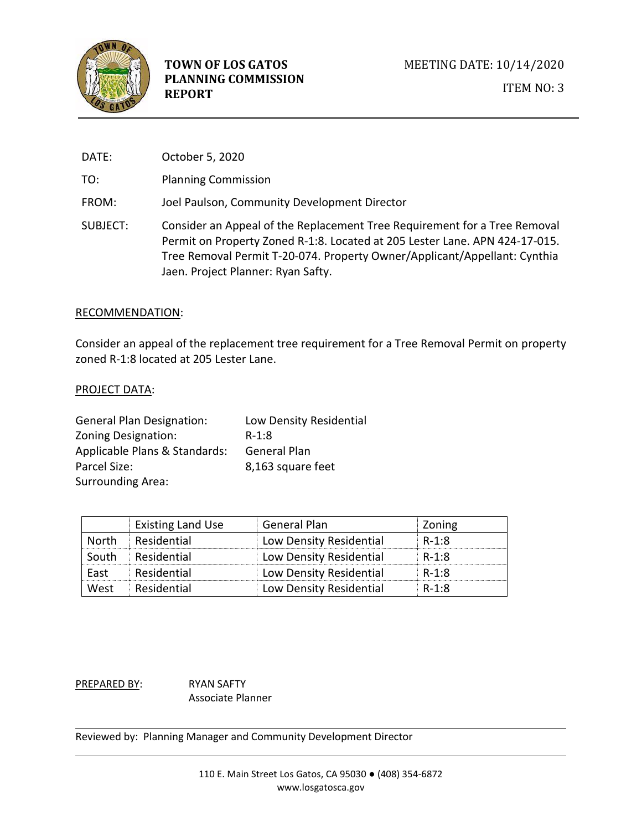

DATE: October 5, 2020

TO: Planning Commission

- FROM: Joel Paulson, Community Development Director
- SUBJECT: Consider an Appeal of the Replacement Tree Requirement for a Tree Removal Permit on Property Zoned R-1:8. Located at 205 Lester Lane. APN 424-17-015. Tree Removal Permit T-20-074. Property Owner/Applicant/Appellant: Cynthia Jaen. Project Planner: Ryan Safty.

#### RECOMMENDATION:

Consider an appeal of the replacement tree requirement for a Tree Removal Permit on property zoned R-1:8 located at 205 Lester Lane.

## PROJECT DATA:

| <b>General Plan Designation:</b> | Low Density Residential |
|----------------------------------|-------------------------|
| Zoning Designation:              | $R-1:8$                 |
| Applicable Plans & Standards:    | <b>General Plan</b>     |
| Parcel Size:                     | 8,163 square feet       |
| <b>Surrounding Area:</b>         |                         |

|              | <b>Existing Land Use</b> | <b>General Plan</b>     | Zoning  |
|--------------|--------------------------|-------------------------|---------|
| <b>North</b> | Residential              | Low Density Residential | R-1:8   |
| South        | Residential              | Low Density Residential | R-1:8   |
| East         | Residential              | Low Density Residential | R-1:8   |
| West         | Residential              | Low Density Residential | $R-1:8$ |

PREPARED BY: RYAN SAFTY Associate Planner

Reviewed by: Planning Manager and Community Development Director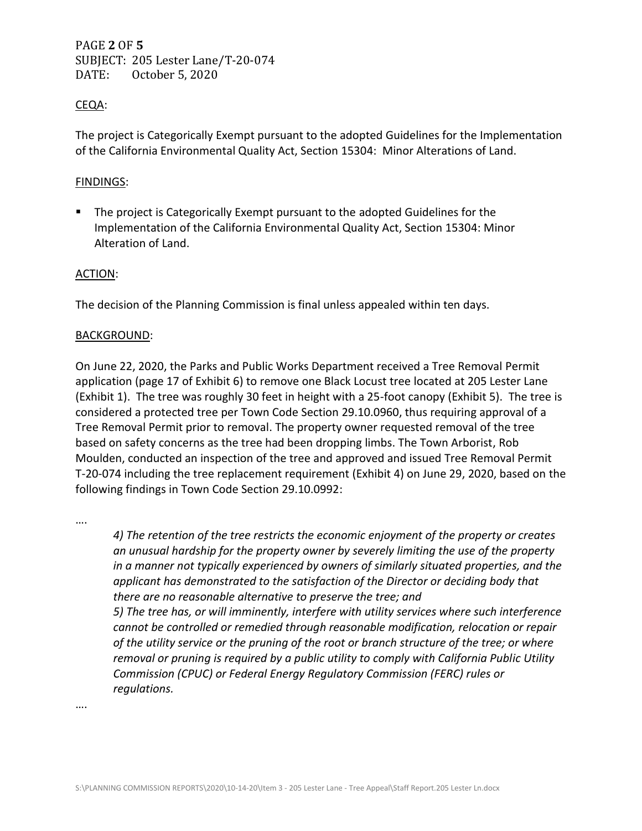PAGE **2** OF **5** SUBJECT: 205 Lester Lane/T-20-074 DATE: October 5, 2020

## CEQA:

The project is Categorically Exempt pursuant to the adopted Guidelines for the Implementation of the California Environmental Quality Act, Section 15304: Minor Alterations of Land.

### FINDINGS:

The project is Categorically Exempt pursuant to the adopted Guidelines for the Implementation of the California Environmental Quality Act, Section 15304: Minor Alteration of Land.

#### ACTION:

The decision of the Planning Commission is final unless appealed within ten days.

#### BACKGROUND:

On June 22, 2020, the Parks and Public Works Department received a Tree Removal Permit application (page 17 of Exhibit 6) to remove one Black Locust tree located at 205 Lester Lane (Exhibit 1). The tree was roughly 30 feet in height with a 25-foot canopy (Exhibit 5). The tree is considered a protected tree per Town Code Section 29.10.0960, thus requiring approval of a Tree Removal Permit prior to removal. The property owner requested removal of the tree based on safety concerns as the tree had been dropping limbs. The Town Arborist, Rob Moulden, conducted an inspection of the tree and approved and issued Tree Removal Permit T-20-074 including the tree replacement requirement (Exhibit 4) on June 29, 2020, based on the following findings in Town Code Section 29.10.0992:

….

*4) The retention of the tree restricts the economic enjoyment of the property or creates an unusual hardship for the property owner by severely limiting the use of the property in a manner not typically experienced by owners of similarly situated properties, and the applicant has demonstrated to the satisfaction of the Director or deciding body that there are no reasonable alternative to preserve the tree; and 5) The tree has, or will imminently, interfere with utility services where such interference* 

*cannot be controlled or remedied through reasonable modification, relocation or repair of the utility service or the pruning of the root or branch structure of the tree; or where removal or pruning is required by a public utility to comply with California Public Utility Commission (CPUC) or Federal Energy Regulatory Commission (FERC) rules or regulations.* 

….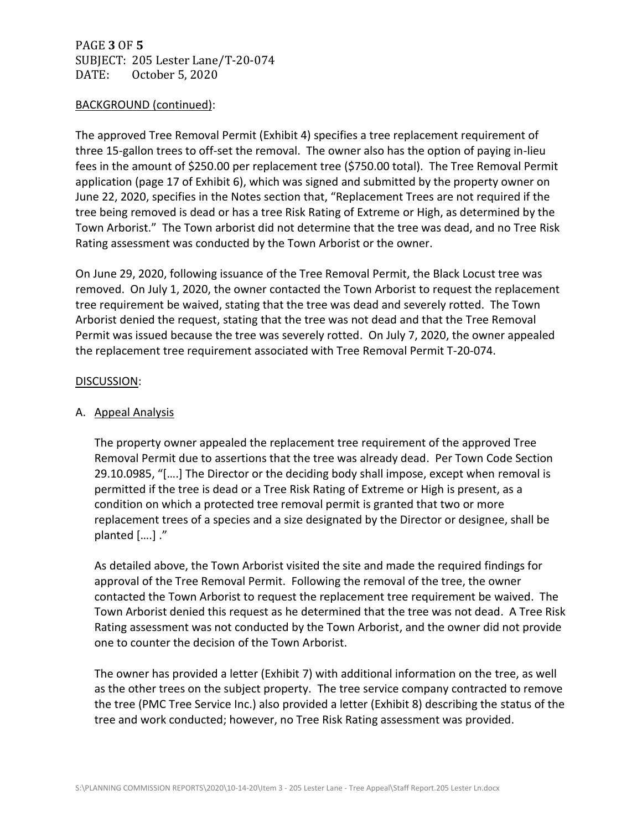PAGE **3** OF **5** SUBJECT: 205 Lester Lane/T-20-074 DATE: October 5, 2020

#### BACKGROUND (continued):

The approved Tree Removal Permit (Exhibit 4) specifies a tree replacement requirement of three 15-gallon trees to off-set the removal. The owner also has the option of paying in-lieu fees in the amount of \$250.00 per replacement tree (\$750.00 total). The Tree Removal Permit application (page 17 of Exhibit 6), which was signed and submitted by the property owner on June 22, 2020, specifies in the Notes section that, "Replacement Trees are not required if the tree being removed is dead or has a tree Risk Rating of Extreme or High, as determined by the Town Arborist." The Town arborist did not determine that the tree was dead, and no Tree Risk Rating assessment was conducted by the Town Arborist or the owner.

On June 29, 2020, following issuance of the Tree Removal Permit, the Black Locust tree was removed. On July 1, 2020, the owner contacted the Town Arborist to request the replacement tree requirement be waived, stating that the tree was dead and severely rotted. The Town Arborist denied the request, stating that the tree was not dead and that the Tree Removal Permit was issued because the tree was severely rotted. On July 7, 2020, the owner appealed the replacement tree requirement associated with Tree Removal Permit T-20-074.

#### DISCUSSION:

### A. Appeal Analysis

The property owner appealed the replacement tree requirement of the approved Tree Removal Permit due to assertions that the tree was already dead. Per Town Code Section 29.10.0985, "[….] The Director or the deciding body shall impose, except when removal is permitted if the tree is dead or a Tree Risk Rating of Extreme or High is present, as a condition on which a protected tree removal permit is granted that two or more replacement trees of a species and a size designated by the Director or designee, shall be planted [….] ."

As detailed above, the Town Arborist visited the site and made the required findings for approval of the Tree Removal Permit. Following the removal of the tree, the owner contacted the Town Arborist to request the replacement tree requirement be waived. The Town Arborist denied this request as he determined that the tree was not dead. A Tree Risk Rating assessment was not conducted by the Town Arborist, and the owner did not provide one to counter the decision of the Town Arborist.

The owner has provided a letter (Exhibit 7) with additional information on the tree, as well as the other trees on the subject property. The tree service company contracted to remove the tree (PMC Tree Service Inc.) also provided a letter (Exhibit 8) describing the status of the tree and work conducted; however, no Tree Risk Rating assessment was provided.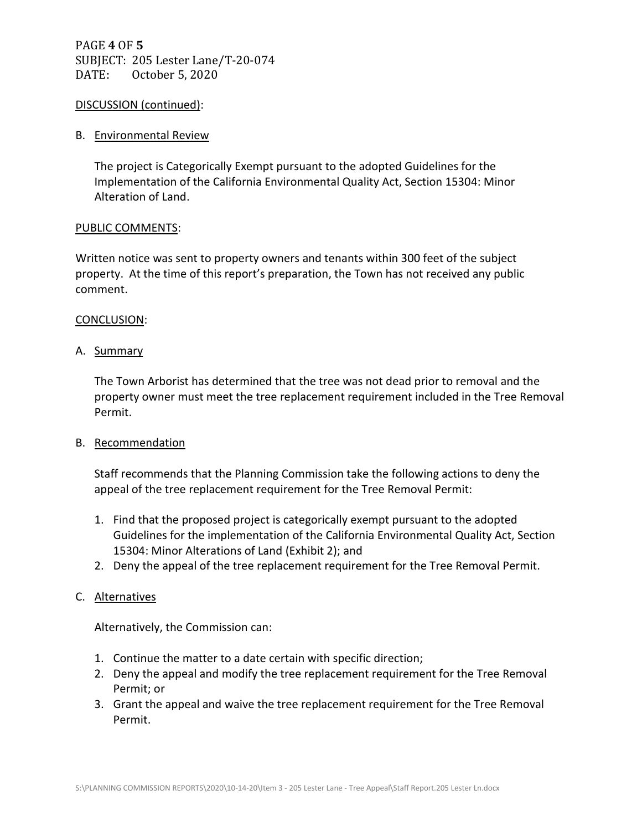PAGE **4** OF **5** SUBJECT: 205 Lester Lane/T-20-074 DATE: October 5, 2020

#### DISCUSSION (continued):

#### B. Environmental Review

The project is Categorically Exempt pursuant to the adopted Guidelines for the Implementation of the California Environmental Quality Act, Section 15304: Minor Alteration of Land.

#### PUBLIC COMMENTS:

Written notice was sent to property owners and tenants within 300 feet of the subject property. At the time of this report's preparation, the Town has not received any public comment.

#### CONCLUSION:

#### A. Summary

The Town Arborist has determined that the tree was not dead prior to removal and the property owner must meet the tree replacement requirement included in the Tree Removal Permit.

#### B. Recommendation

Staff recommends that the Planning Commission take the following actions to deny the appeal of the tree replacement requirement for the Tree Removal Permit:

- 1. Find that the proposed project is categorically exempt pursuant to the adopted Guidelines for the implementation of the California Environmental Quality Act, Section 15304: Minor Alterations of Land (Exhibit 2); and
- 2. Deny the appeal of the tree replacement requirement for the Tree Removal Permit.

#### C. Alternatives

Alternatively, the Commission can:

- 1. Continue the matter to a date certain with specific direction;
- 2. Deny the appeal and modify the tree replacement requirement for the Tree Removal Permit; or
- 3. Grant the appeal and waive the tree replacement requirement for the Tree Removal Permit.